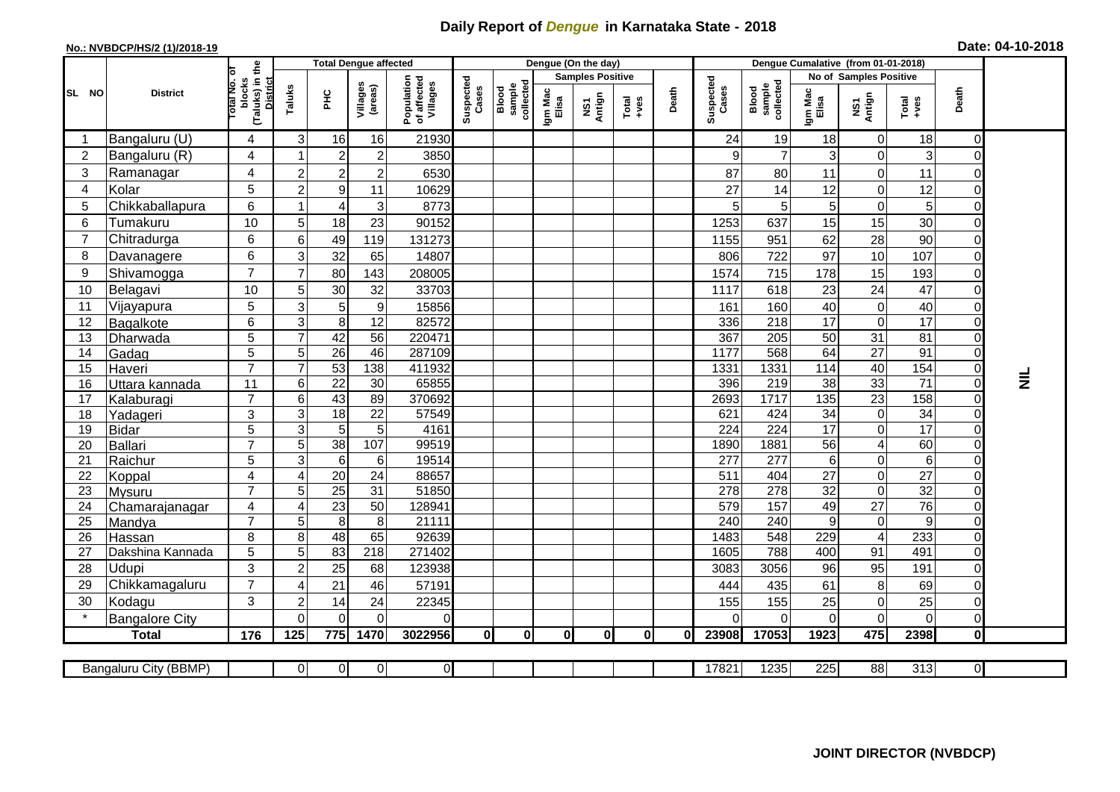## **Daily Report of** *Dengue* **in Karnataka State - 2018**

## **No.: NVBDCP/HS/2 (1)/2018-19 Date: 04-10-2018**

|                                                                                                                                                   |                                 |                                                       |                 | <b>Total Dengue affected</b>       |                      |                                       |                    |                              |                         | Dengue (On the day) |          |       |                    |                              |                        |                                 |                          |                            |           |
|---------------------------------------------------------------------------------------------------------------------------------------------------|---------------------------------|-------------------------------------------------------|-----------------|------------------------------------|----------------------|---------------------------------------|--------------------|------------------------------|-------------------------|---------------------|----------|-------|--------------------|------------------------------|------------------------|---------------------------------|--------------------------|----------------------------|-----------|
| SL NO                                                                                                                                             |                                 |                                                       |                 |                                    |                      |                                       | Suspected<br>Cases |                              | <b>Samples Positive</b> |                     |          |       |                    |                              | No of Samples Positive |                                 |                          |                            |           |
|                                                                                                                                                   | <b>District</b>                 | (Taluks) in the<br>District<br>lotal No. of<br>blocks | Taluks          | PНC                                | Villages<br>(areas)  | Population<br>of affected<br>Villages |                    | Blood<br>sample<br>collected | Igm Mac<br>Elisa        | NS1<br>Antign       | $Totael$ | Death | Suspected<br>Cases | Blood<br>sample<br>collected | Igm Mac<br>Elisa       | NS1<br>Antign                   | Total<br>+ves            | Death                      |           |
|                                                                                                                                                   | Bangaluru (U)                   | 4                                                     | 3               | 16                                 | 16                   | 21930                                 |                    |                              |                         |                     |          |       | 24                 | 19                           | 18                     | $\mathbf 0$                     | 18                       | $\Omega$                   |           |
| $\overline{2}$                                                                                                                                    | Bangaluru (R)                   | 4                                                     |                 | $\boldsymbol{2}$                   | $\overline{c}$       | 3850                                  |                    |                              |                         |                     |          |       | 9                  | $\overline{7}$               | 3                      | $\boldsymbol{0}$                | 3                        | 0                          |           |
| 3                                                                                                                                                 | Ramanagar                       | $\overline{4}$                                        | $\overline{2}$  | $\overline{2}$                     | $\overline{c}$       | 6530                                  |                    |                              |                         |                     |          |       | 87                 | 80                           | 11                     | $\mathbf 0$                     | 11                       | $\Omega$                   |           |
| $\overline{4}$                                                                                                                                    | Kolar                           | 5                                                     | $\overline{2}$  | $\boldsymbol{9}$                   | 11                   | 10629                                 |                    |                              |                         |                     |          |       | 27                 | 14                           | 12                     | $\mathbf 0$                     | 12                       | $\Omega$                   |           |
| 5                                                                                                                                                 | Chikkaballapura                 | 6                                                     | 1               | 4                                  | 3                    | 8773                                  |                    |                              |                         |                     |          |       |                    | $\sqrt{5}$                   | 5                      | $\boldsymbol{0}$                | 5                        | $\mathbf 0$                |           |
| 6                                                                                                                                                 | Tumakuru                        | 10                                                    | 5               | 18                                 | 23                   | 90152                                 |                    |                              |                         |                     |          |       | 1253               | 637                          | 15                     | 15                              | 30                       | $\Omega$                   |           |
| 7                                                                                                                                                 | Chitradurga                     | 6                                                     | $\,6$           | 49                                 | 119                  | 131273                                |                    |                              |                         |                     |          |       | 1155               | 951                          | 62                     | 28                              | 90                       | $\Omega$                   |           |
| 8                                                                                                                                                 | Davanagere                      | 6                                                     | 3               | 32                                 | 65                   | 14807                                 |                    |                              |                         |                     |          |       | 806                | 722                          | 97                     | 10                              | 107                      | $\Omega$                   |           |
| 9                                                                                                                                                 | Shivamogga                      | $\overline{7}$                                        | $\overline{7}$  | 80                                 | 143                  | 208005                                |                    |                              |                         |                     |          |       | 1574               | 715                          | 178                    | 15                              | 193                      | $\Omega$                   |           |
| 10                                                                                                                                                | Belagavi                        | 10                                                    | 5               | 30                                 | 32                   | 33703                                 |                    |                              |                         |                     |          |       | 1117               | 618                          | 23                     | 24                              | 47                       | $\mathbf 0$                |           |
| 11                                                                                                                                                | Vijayapura                      | 5                                                     | 3               | 5                                  | $\boldsymbol{9}$     | 15856                                 |                    |                              |                         |                     |          |       | 161                | 160                          | 40                     | $\mathbf 0$                     | 40                       | $\mathbf 0$                |           |
| 12                                                                                                                                                | Bagalkote                       | 6                                                     | 3               | 8                                  | 12                   | 82572                                 |                    |                              |                         |                     |          |       | 336                | 218                          | 17                     | $\mathbf 0$                     | $\overline{17}$          | $\Omega$                   |           |
| 13                                                                                                                                                | Dharwada                        | 5                                                     | $\overline{7}$  | 42                                 | $\overline{56}$      | 220471                                |                    |                              |                         |                     |          |       | 367                | 205                          | 50                     | 31                              | $\overline{81}$          | $\Omega$                   |           |
| 14                                                                                                                                                | Gadag                           | $\overline{5}$                                        | 5               | $\overline{26}$                    | 46                   | 287109                                |                    |                              |                         |                     |          |       | 1177               | 568                          | 64                     | $\overline{27}$                 | 91                       | $\Omega$                   |           |
| 15                                                                                                                                                | Haveri                          | $\overline{7}$                                        | $\overline{7}$  | 53                                 | 138                  | 411932                                |                    |                              |                         |                     |          |       | 1331               | 1331                         | 114                    | 40                              | 154                      | $\overline{0}$             |           |
| 16                                                                                                                                                | Uttara kannada                  | 11                                                    | $\,6$           | $\overline{22}$                    | 30                   | 65855                                 |                    |                              |                         |                     |          |       | 396                | 219                          | $\overline{38}$        | 33                              | $\overline{71}$          | $\Omega$                   | $\vec{z}$ |
| 17                                                                                                                                                | Kalaburagi                      | $\overline{7}$                                        | $6\phantom{1}6$ | 43                                 | 89                   | 370692                                |                    |                              |                         |                     |          |       | 2693               | 1717                         | 135                    | $\overline{23}$                 | 158                      | 0                          |           |
| 18                                                                                                                                                | Yadageri                        | 3                                                     | 3               | 18                                 | 22                   | 57549                                 |                    |                              |                         |                     |          |       | 621                | 424                          | 34                     | $\mathbf 0$                     | 34                       | $\Omega$                   |           |
| 19                                                                                                                                                | <b>Bidar</b>                    | 5                                                     | $\overline{3}$  | $\overline{5}$                     | $\overline{5}$       | 4161                                  |                    |                              |                         |                     |          |       | $\overline{224}$   | $\overline{224}$             | 17                     | $\overline{0}$                  | $\overline{17}$          | $\Omega$                   |           |
| 20                                                                                                                                                | Ballari                         | $\overline{7}$                                        | 5               | 38                                 | 107                  | 99519                                 |                    |                              |                         |                     |          |       | 1890               | 1881                         | 56                     | $\overline{\mathbf{4}}$         | 60                       | $\mathbf 0$                |           |
| 21<br>22                                                                                                                                          | Raichur                         | 5<br>$\overline{\mathbf{4}}$                          | 3               | $6\phantom{1}6$<br>$\overline{20}$ | 6<br>$\overline{24}$ | 19514<br>88657                        |                    |                              |                         |                     |          |       | 277<br>511         | 277<br>404                   | 6<br>$\overline{27}$   | $\boldsymbol{0}$<br>$\mathbf 0$ | $\,6$<br>$\overline{27}$ | $\mathbf 0$<br>$\mathbf 0$ |           |
| 23                                                                                                                                                | Koppal                          | $\overline{7}$                                        | 4<br>5          | $\overline{25}$                    | 31                   | 51850                                 |                    |                              |                         |                     |          |       | 278                | 278                          | $\overline{32}$        | $\mathbf 0$                     | 32                       | $\Omega$                   |           |
| 24                                                                                                                                                | <b>Mysuru</b><br>Chamarajanagar | 4                                                     | $\overline{4}$  | 23                                 | $\overline{50}$      | 128941                                |                    |                              |                         |                     |          |       | 579                | 157                          | 49                     | $\overline{27}$                 | 76                       | $\mathbf 0$                |           |
| 25                                                                                                                                                | Mandya                          | $\overline{7}$                                        | 5               | $\overline{8}$                     | 8                    | 21111                                 |                    |                              |                         |                     |          |       | 240                | 240                          | 9                      | $\pmb{0}$                       | 9                        | $\mathbf 0$                |           |
| 26                                                                                                                                                | Hassan                          | 8                                                     | 8               | 48                                 | 65                   | 92639                                 |                    |                              |                         |                     |          |       | 1483               | 548                          | 229                    | $\overline{\mathcal{A}}$        | 233                      | $\mathbf 0$                |           |
| 27                                                                                                                                                | Dakshina Kannada                | 5                                                     | $\sqrt{5}$      | 83                                 | $\overline{218}$     | 271402                                |                    |                              |                         |                     |          |       | 1605               | 788                          | 400                    | 91                              | 491                      | $\overline{0}$             |           |
| 28                                                                                                                                                | Udupi                           | 3                                                     | $\overline{2}$  | 25                                 | 68                   | 123938                                |                    |                              |                         |                     |          |       | 3083               | 3056                         | 96                     | 95                              | 191                      | $\Omega$                   |           |
| 29                                                                                                                                                | Chikkamagaluru                  | $\overline{7}$                                        | 4               | 21                                 | 46                   | 57191                                 |                    |                              |                         |                     |          |       | 444                | 435                          | 61                     | 8                               | 69                       | $\Omega$                   |           |
| 30                                                                                                                                                | Kodagu                          | 3                                                     | $\overline{c}$  | 14                                 | 24                   | 22345                                 |                    |                              |                         |                     |          |       | 155                | 155                          | 25                     | $\pmb{0}$                       | 25                       | $\mathbf 0$                |           |
|                                                                                                                                                   | <b>Bangalore City</b>           |                                                       | $\Omega$        | $\mathbf{0}$                       | $\Omega$             | 0                                     |                    |                              |                         |                     |          |       |                    | $\Omega$                     | 0                      | $\mathbf 0$                     | $\mathbf 0$              | $\overline{0}$             |           |
|                                                                                                                                                   | <b>Total</b>                    | 176                                                   | 125             | 775                                | 1470                 | 3022956                               | 0                  | $\mathbf{0}$                 | 0I                      | $\mathbf{0}$        | 0I       | 0l    | 23908              | 17053                        | 1923                   | 475                             | 2398                     | 0                          |           |
|                                                                                                                                                   |                                 |                                                       |                 |                                    |                      |                                       |                    |                              |                         |                     |          |       |                    |                              |                        |                                 |                          |                            |           |
| 0 <br>17821<br>1235<br>225<br>88<br>313<br>$\overline{\mathsf{d}}$<br>Bangaluru City (BBMP)<br>$\overline{0}$<br>$\overline{0}$<br>$\overline{0}$ |                                 |                                                       |                 |                                    |                      |                                       |                    |                              |                         |                     |          |       |                    |                              |                        |                                 |                          |                            |           |